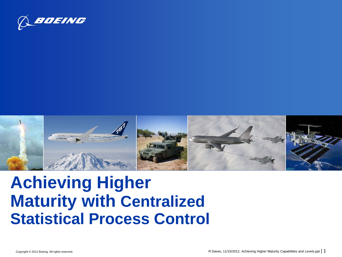



## **Achieving Higher Maturity with Centralized Statistical Process Control**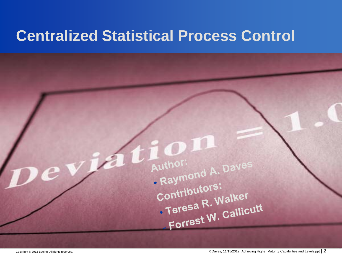### **Centralized Statistical Process Control**

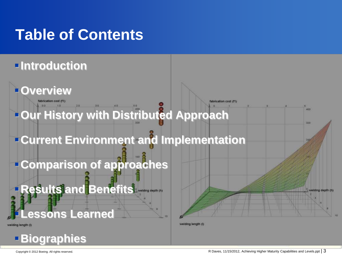### **Table of Contents**

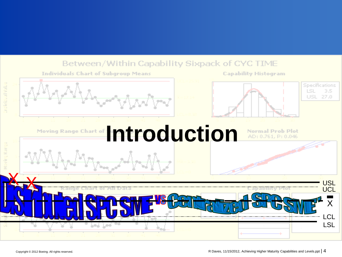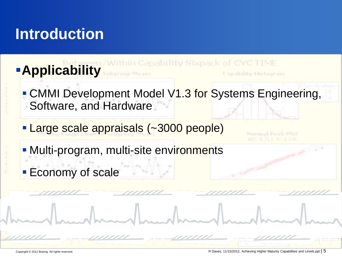### **Introduction**

**Applicability** subgroup Means **Eapabricy Histogram - CMMI Development Model V1.3 for Systems Engineering,** Software, and Hardware **Large scale appraisals (~3000 people)** • Multi-program, multi-site environments **Economy of scale**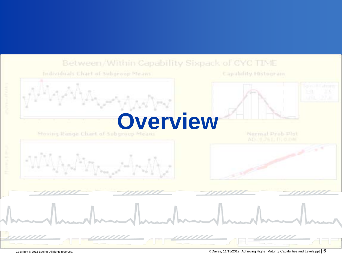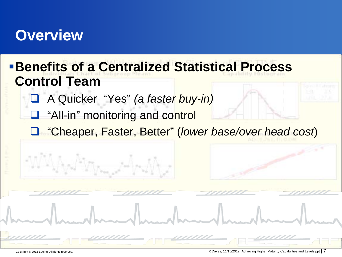### **Overview**

### **Benefits of a Centralized Statistical Process Control Team**

- A Quicker "Yes" *(a faster buy-in)*
- **Q** "All-in" monitoring and control
- "Cheaper, Faster, Better" (*lower base/over head cost*)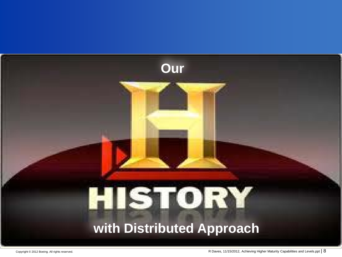# **Our** HISTORY **with Distributed Approach**

Copyright © 2012 Boeing. All rights reserved.

R Daves, 11/15/2012, Achieving Higher Maturity Capabilities and Levels.ppt | 8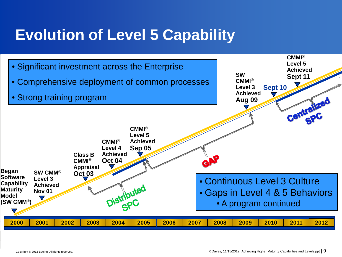### **Evolution of Level 5 Capability**

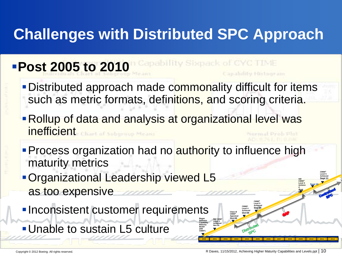## **Challenges with Distributed SPC Approach**

### Capability Sixpack of CYC TIME **Post 2005 to 2010 Capabriley Histogram - Distributed approach made commonality difficult for items** such as metric formats, definitions, and scoring criteria.

- **Rollup of data and analysis at organizational level was** inefficient Chart of Subaraup Means
- **Process organization had no authority to influence high** maturity metrics

**Began Software Capability Maturity Model (SW CMM®)**

**SW CMM® Level 3 Achieved Nov 01**

**Class B CMMI® Appraisal Oct 03** **CMMI® Level 4 Achieved Oct 04**

**CMMI® Level 5 Achieved Sep 05**

**CMMI® Level 5 Achieved**

**2012**

**SW Sept 11**

**Sept 10**

**CMMI® Level 3 Achieve d Aug 09**

- **Organizational Leadership viewed L5** as too expensive
- **Inconsistent customer requirements**
- Unable to sustain L5 culture

**2000 2001 2002 2003 2004 2005 2006 2007 2008 2009 2010 2011**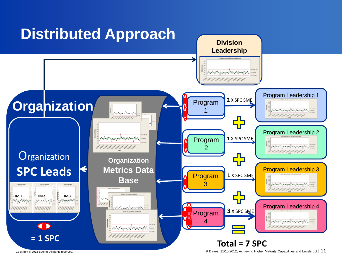

R Daves, 11/15/2012, Achieving Higher Maturity Capabilities and Levels.ppt | 11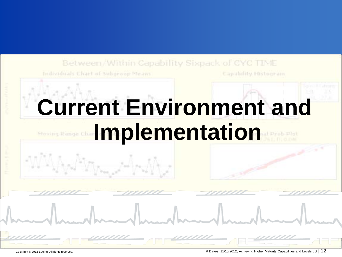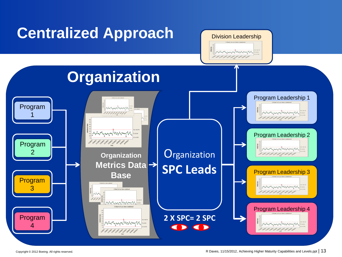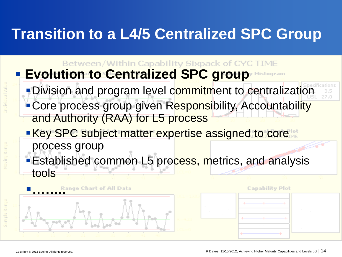### **Transition to a L4/5 Centralized SPC Group**

Between/Within Capability Sixpack of CYC TIME **Evolution to Centralized SPC group** Histogram

- Division and program level commitment to centralization
- Core process group given Responsibility, Accountability and Authority (RAA) for L5 process
- **Key SPC subject matter expertise assigned to core** process group
- **Established common L5 process, metrics, and analysis** tools



**Capability Plot**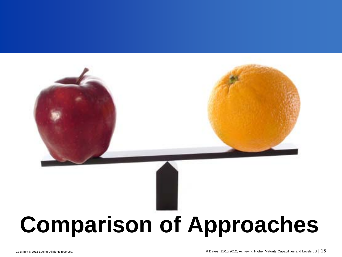

# **Comparison of Approaches**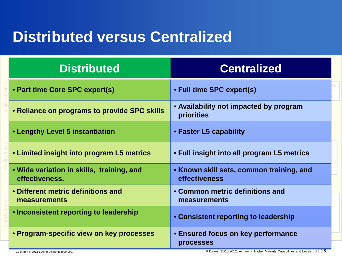### **Distributed versus Centralized**

| <b>Distributed</b>                                          | <b>Centralized</b>                                        |
|-------------------------------------------------------------|-----------------------------------------------------------|
| • Part time Core SPC expert(s)                              | • Full time SPC expert(s)                                 |
| • Reliance on programs to provide SPC skills                | • Availability not impacted by program<br>priorities      |
| • Lengthy Level 5 instantiation                             | • Faster L5 capability                                    |
| • Limited insight into program L5 metrics                   | • Full insight into all program L5 metrics                |
| • Wide variation in skills, training, and<br>effectiveness. | • Known skill sets, common training, and<br>effectiveness |
| • Different metric definitions and<br>measurements          | • Common metric definitions and<br>measurements           |
| <b>• Inconsistent reporting to leadership</b>               | • Consistent reporting to leadership                      |
| • Program-specific view on key processes                    | <b>• Ensured focus on key performance</b><br>processes    |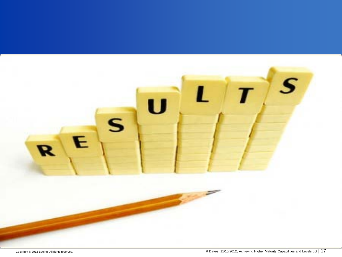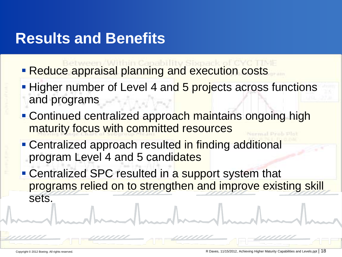### **Results and Benefits**

- **Reduce appraisal planning and execution costs**
- **Higher number of Level 4 and 5 projects across functions** and programs
- **Continued centralized approach maintains ongoing high** maturity focus with committed resources
- **Centralized approach resulted in finding additional** program Level 4 and 5 candidates
- Centralized SPC resulted in a support system that programs relied on to strengthen and improve existing skill sets.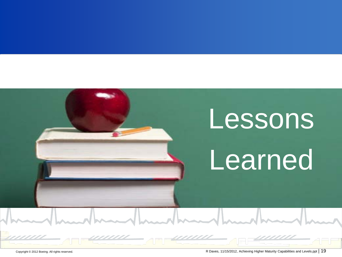# Lessons **Learned**

<u>aan</u>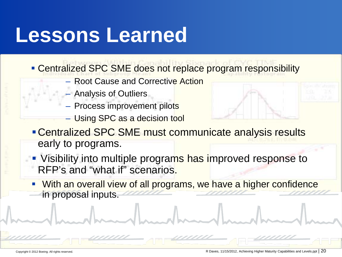# **Lessons Learned**

- **Centralized SPC SME does not replace program responsibility** 
	- Root Cause and Corrective Action
	- Analysis of Outliers
	- Process improvement pilots
	- Using SPC as a decision tool



- Centralized SPC SME must communicate analysis results early to programs.
- Visibility into multiple programs has improved response to RFP's and "what if" scenarios.
- With an overall view of all programs, we have a higher confidence in proposal inputs.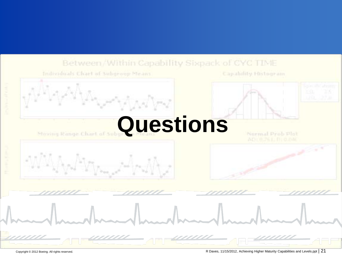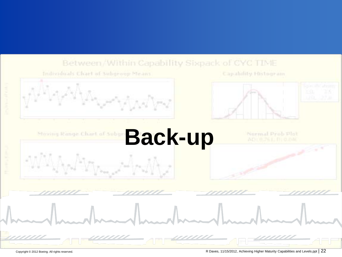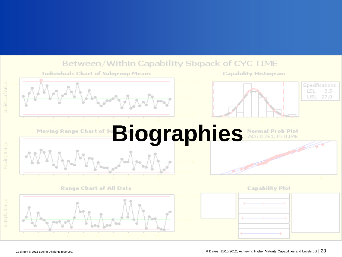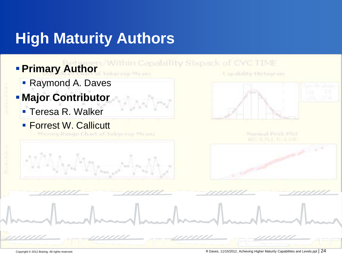### **High Maturity Authors**

arboroup Means

- **Primary Author** 
	- **Raymond A. Daves**
- **Major Contributor**
	- **Teresa R. Walker**
	- **Forrest W. Callicutt**

Capability Histogram



Normal Prob Plot

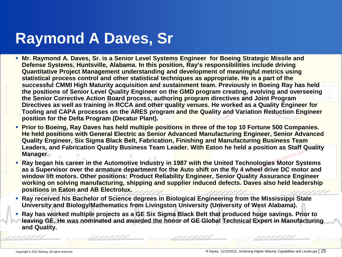### **Raymond A Daves, Sr**

- **Mr. Raymond A. Daves, Sr. is a Senior Level Systems Engineer for Boeing Strategic Missile and Defense Systems, Huntsville, Alabama. In this position, Ray's responsibilities include driving Quantitative Project Management understanding and development of meaningful metrics using statistical process control and other statistical techniques as appropriate. He is a part of the successful CMMI High Maturity acquisition and sustainment team. Previously in Boeing Ray has held the positions of Senior Level Quality Engineer on the GMD program creating, evolving and overseeing the Senior Corrective Action Board process, authoring program directives and Joint Program Directives as well as training in RCCA and other quality venues. He worked as a Quality Engineer for Tooling and CAPA processes on the ARES program and the Quality and Variation Reduction Engineer position for the Delta Program (Decatur Plant).**
- **Prior to Boeing, Ray Daves has held multiple positions in three of the top 10 Fortune 500 Companies. He held positions with General Electric as Senior Advanced Manufacturing Engineer, Senior Advanced Quality Engineer, Six Sigma Black Belt, Fabrication, Finishing and Manufacturing Business Team Leaders, and Fabrication Quality Business Team Leader. With Eaton he held a position as Staff Quality Manager.**
- **Ray began his career in the Automotive Industry in 1987 with the United Technologies Motor Systems as a Supervisor over the armature department for the Auto shift on the fly 4 wheel drive DC motor and window lift motors. Other positions: Product Reliability Engineer, Senior Quality Assurance Engineer working on solving manufacturing, shipping and supplier induced defects. Daves also held leadership positions in Eaton and AB Electrolux.**
- **Ray received his Bachelor of Science degrees in Biological Engineering from the Mississippi State University and Biology/Mathematics from Livingston University (University of West Alabama).**
- **Ray has worked multiple projects as a GE Six Sigma Black Belt that produced huge savings. Prior to leaving GE, He was nominated and awarded the honor of GE Global Technical Expert in Manufacturing and Quality.**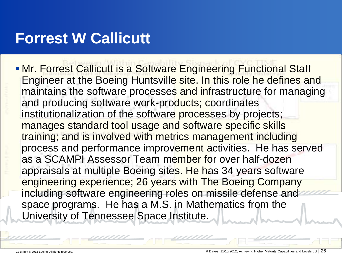### **Forrest W Callicutt**

**- Mr. Forrest Callicutt is a Software Engineering Functional Staff** Engineer at the Boeing Huntsville site. In this role he defines and maintains the software processes and infrastructure for managing and producing software work-products; coordinates institutionalization of the software processes by projects; manages standard tool usage and software specific skills training; and is involved with metrics management including process and performance improvement activities. He has served as a SCAMPI Assessor Team member for over half-dozen appraisals at multiple Boeing sites. He has 34 years software engineering experience; 26 years with The Boeing Company including software engineering roles on missile defense and space programs. He has a M.S. in Mathematics from the University of Tennessee Space Institute.